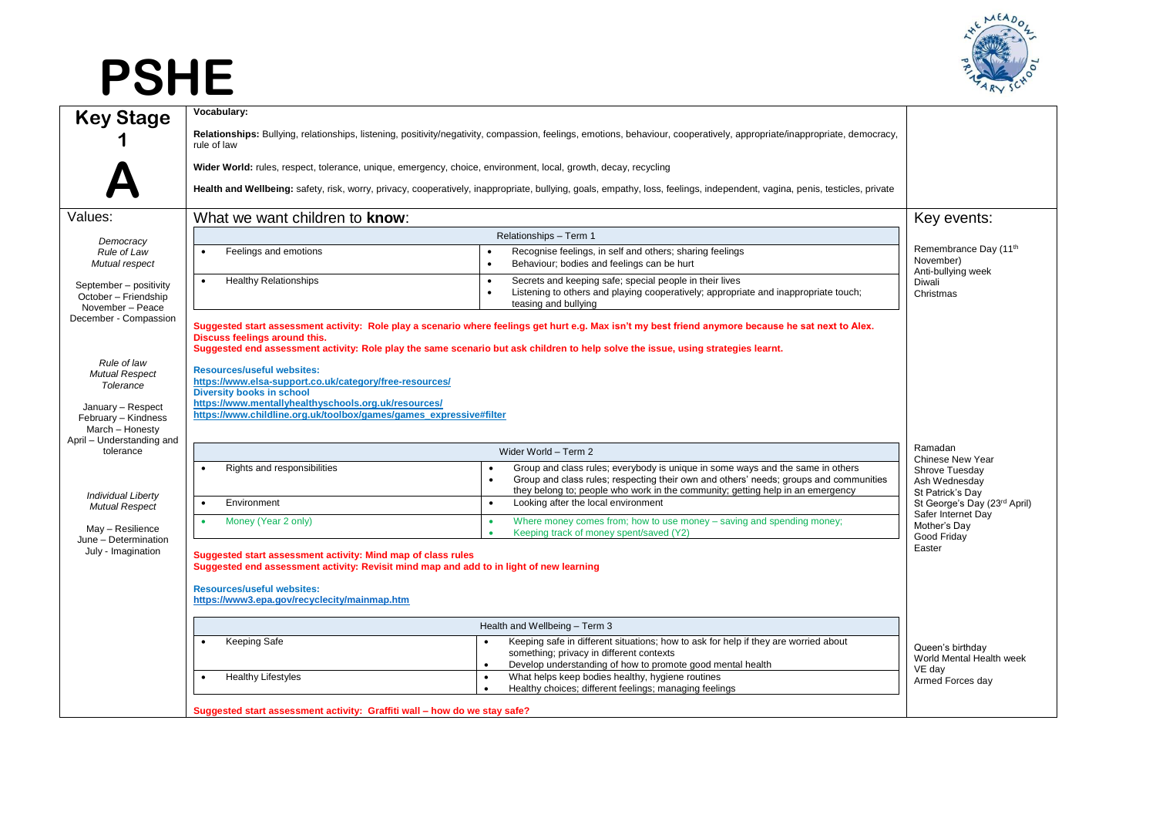## **PSHE**



| <b>Key Stage</b>                                                                                                 | Vocabulary:<br>Relationships: Bullying, relationships, listening, positivity/negativity, compassion, feelings, emotions, behaviour, cooperatively, appropriate/inappropriate, democracy,                                                                                                                                   |                                                                                                                                                                                                                                                           |                                                                         |
|------------------------------------------------------------------------------------------------------------------|----------------------------------------------------------------------------------------------------------------------------------------------------------------------------------------------------------------------------------------------------------------------------------------------------------------------------|-----------------------------------------------------------------------------------------------------------------------------------------------------------------------------------------------------------------------------------------------------------|-------------------------------------------------------------------------|
|                                                                                                                  | rule of law<br>Wider World: rules, respect, tolerance, unique, emergency, choice, environment, local, growth, decay, recycling                                                                                                                                                                                             |                                                                                                                                                                                                                                                           |                                                                         |
|                                                                                                                  | Health and Wellbeing: safety, risk, worry, privacy, cooperatively, inappropriate, bullying, goals, empathy, loss, feelings, independent, vagina, penis, testicles, private                                                                                                                                                 |                                                                                                                                                                                                                                                           |                                                                         |
| Values:                                                                                                          | What we want children to know:                                                                                                                                                                                                                                                                                             |                                                                                                                                                                                                                                                           | Key events:                                                             |
| Democracy                                                                                                        | Relationships - Term 1                                                                                                                                                                                                                                                                                                     |                                                                                                                                                                                                                                                           |                                                                         |
| Rule of Law<br>Mutual respect                                                                                    | Feelings and emotions<br>$\bullet$<br>$\bullet$                                                                                                                                                                                                                                                                            | Recognise feelings, in self and others; sharing feelings<br>Behaviour; bodies and feelings can be hurt                                                                                                                                                    | Remembrance Day (11 <sup>th</sup><br>November)<br>Anti-bullying week    |
| September - positivity<br>October - Friendship<br>November - Peace                                               | <b>Healthy Relationships</b><br>$\bullet$<br>$\bullet$<br>$\bullet$                                                                                                                                                                                                                                                        | Secrets and keeping safe; special people in their lives<br>Listening to others and playing cooperatively; appropriate and inappropriate touch;<br>teasing and bullying                                                                                    | Diwali<br>Christmas                                                     |
| December - Compassion                                                                                            | Suggested start assessment activity: Role play a scenario where feelings get hurt e.g. Max isn't my best friend anymore because he sat next to Alex.<br>Discuss feelings around this.<br>Suggested end assessment activity: Role play the same scenario but ask children to help solve the issue, using strategies learnt. |                                                                                                                                                                                                                                                           |                                                                         |
| Rule of law<br><b>Mutual Respect</b><br>Tolerance<br>January - Respect<br>February - Kindness<br>March - Honesty | <b>Resources/useful websites:</b><br>https://www.elsa-support.co.uk/category/free-resources/<br><b>Diversity books in school</b><br>https://www.mentallyhealthyschools.org.uk/resources/<br>https://www.childline.org.uk/toolbox/games/games_expressive#filter                                                             |                                                                                                                                                                                                                                                           |                                                                         |
| April - Understanding and<br>tolerance                                                                           | Wider World - Term 2                                                                                                                                                                                                                                                                                                       |                                                                                                                                                                                                                                                           | Ramadan                                                                 |
|                                                                                                                  | Rights and responsibilities<br>$\bullet$<br>$\bullet$                                                                                                                                                                                                                                                                      | Group and class rules; everybody is unique in some ways and the same in others<br>Group and class rules; respecting their own and others' needs; groups and communities<br>they belong to; people who work in the community; getting help in an emergency | Chinese New Year<br>Shrove Tuesday<br>Ash Wednesday<br>St Patrick's Day |
| <b>Individual Liberty</b><br><b>Mutual Respect</b>                                                               | Environment<br>$\bullet$<br>$\bullet$                                                                                                                                                                                                                                                                                      | Looking after the local environment                                                                                                                                                                                                                       | St George's Day (23rd April)                                            |
| May - Resilience<br>June - Determination<br>July - Imagination                                                   | Money (Year 2 only)<br>$\bullet$<br>$\bullet$<br>$\bullet$                                                                                                                                                                                                                                                                 | Where money comes from; how to use money – saving and spending money;<br>Keeping track of money spent/saved (Y2)                                                                                                                                          | Safer Internet Day<br>Mother's Day<br>Good Fridav                       |
|                                                                                                                  | Suggested start assessment activity: Mind map of class rules<br>Suggested end assessment activity: Revisit mind map and add to in light of new learning                                                                                                                                                                    |                                                                                                                                                                                                                                                           | Easter                                                                  |
|                                                                                                                  | <b>Resources/useful websites:</b><br>https://www3.epa.gov/recyclecity/mainmap.htm                                                                                                                                                                                                                                          |                                                                                                                                                                                                                                                           |                                                                         |
|                                                                                                                  | Health and Wellbeing - Term 3                                                                                                                                                                                                                                                                                              |                                                                                                                                                                                                                                                           |                                                                         |
|                                                                                                                  | Keeping Safe<br>$\bullet$<br>$\bullet$                                                                                                                                                                                                                                                                                     | Keeping safe in different situations; how to ask for help if they are worried about<br>something; privacy in different contexts<br>Develop understanding of how to promote good mental health                                                             | Queen's birthday<br>World Mental Health week                            |
|                                                                                                                  | <b>Healthy Lifestyles</b><br>$\bullet$<br>$\bullet$                                                                                                                                                                                                                                                                        | What helps keep bodies healthy, hygiene routines<br>Healthy choices; different feelings; managing feelings                                                                                                                                                | VE day<br>Armed Forces day                                              |
|                                                                                                                  | Suggested start assessment activity: Graffiti wall - how do we stay safe?                                                                                                                                                                                                                                                  |                                                                                                                                                                                                                                                           |                                                                         |